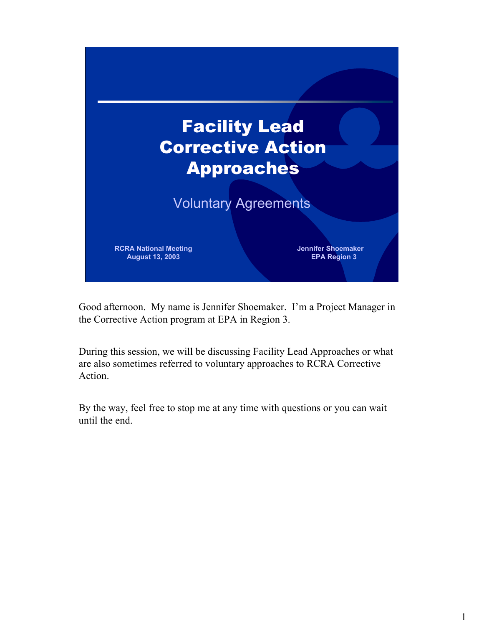

Good afternoon. My name is Jennifer Shoemaker. I'm a Project Manager in the Corrective Action program at EPA in Region 3.

During this session, we will be discussing Facility Lead Approaches or what are also sometimes referred to voluntary approaches to RCRA Corrective Action.

By the way, feel free to stop me at any time with questions or you can wait until the end.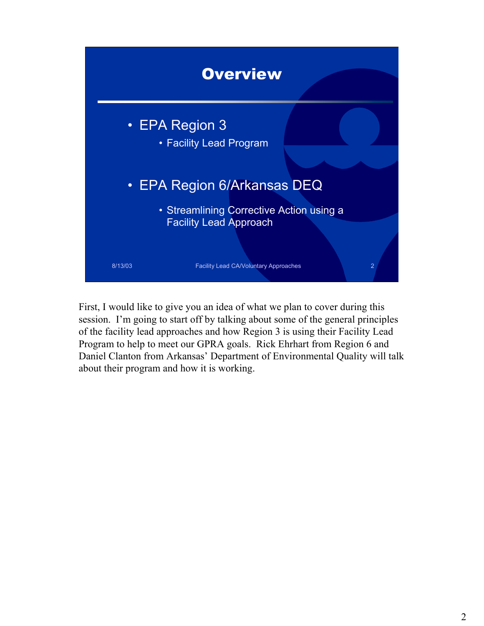

First, I would like to give you an idea of what we plan to cover during this session. I'm going to start off by talking about some of the general principles of the facility lead approaches and how Region 3 is using their Facility Lead Program to help to meet our GPRA goals. Rick Ehrhart from Region 6 and Daniel Clanton from Arkansas' Department of Environmental Quality will talk about their program and how it is working.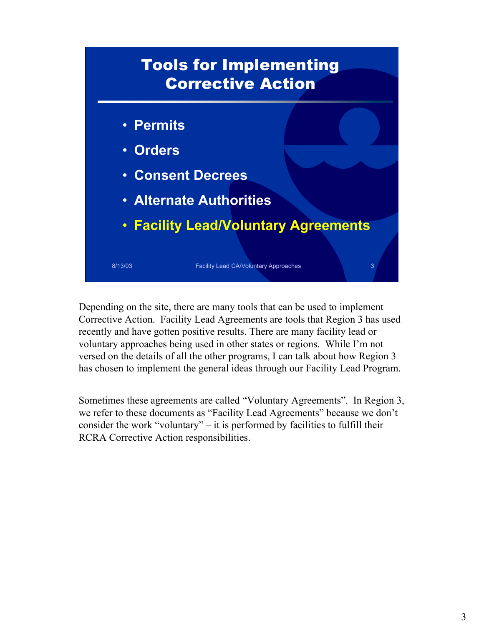

Depending on the site, there are many tools that can be used to implement Corrective Action. Facility Lead Agreements are tools that Region 3 has used recently and have gotten positive results. There are many facility lead or voluntary approaches being used in other states or regions. While I'm not versed on the details of all the other programs, I can talk about how Region 3 has chosen to implement the general ideas through our Facility Lead Program.

Sometimes these agreements are called "Voluntary Agreements". In Region 3, we refer to these documents as "Facility Lead Agreements" because we don't consider the work "voluntary"  $-$  it is performed by facilities to fulfill their RCRA Corrective Action responsibilities.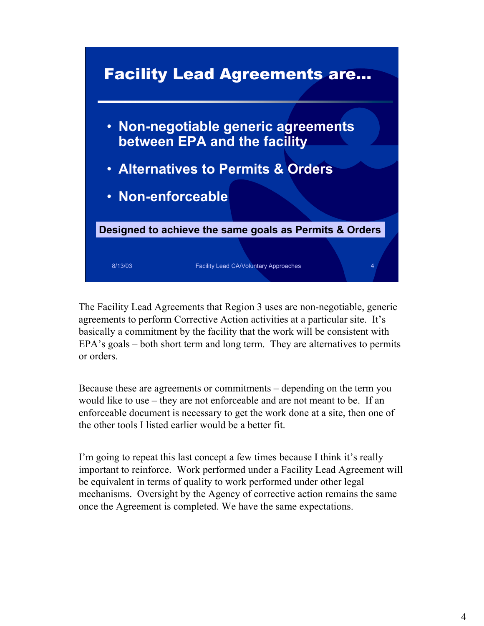

The Facility Lead Agreements that Region 3 uses are non-negotiable, generic agreements to perform Corrective Action activities at a particular site. It's basically a commitment by the facility that the work will be consistent with EPA's goals – both short term and long term. They are alternatives to permits or orders.

Because these are agreements or commitments – depending on the term you would like to use – they are not enforceable and are not meant to be. If an enforceable document is necessary to get the work done at a site, then one of the other tools I listed earlier would be a better fit.

I'm going to repeat this last concept a few times because I think it's really important to reinforce. Work performed under a Facility Lead Agreement will be equivalent in terms of quality to work performed under other legal mechanisms. Oversight by the Agency of corrective action remains the same once the Agreement is completed. We have the same expectations.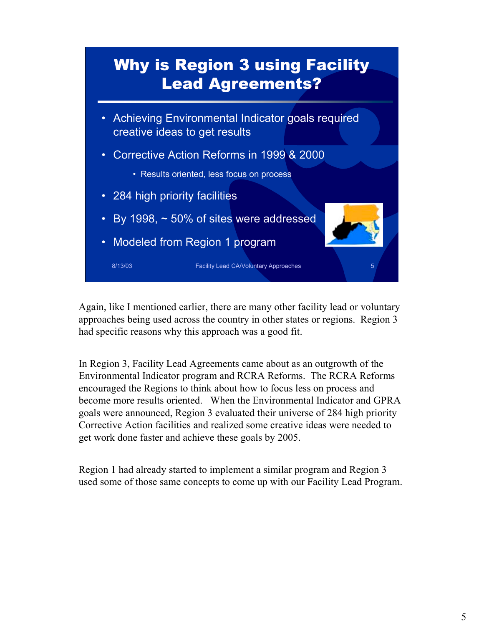

Again, like I mentioned earlier, there are many other facility lead or voluntary approaches being used across the country in other states or regions. Region 3 had specific reasons why this approach was a good fit.

In Region 3, Facility Lead Agreements came about as an outgrowth of the Environmental Indicator program and RCRA Reforms. The RCRA Reforms encouraged the Regions to think about how to focus less on process and become more results oriented. When the Environmental Indicator and GPRA goals were announced, Region 3 evaluated their universe of 284 high priority Corrective Action facilities and realized some creative ideas were needed to get work done faster and achieve these goals by 2005.

Region 1 had already started to implement a similar program and Region 3 used some of those same concepts to come up with our Facility Lead Program.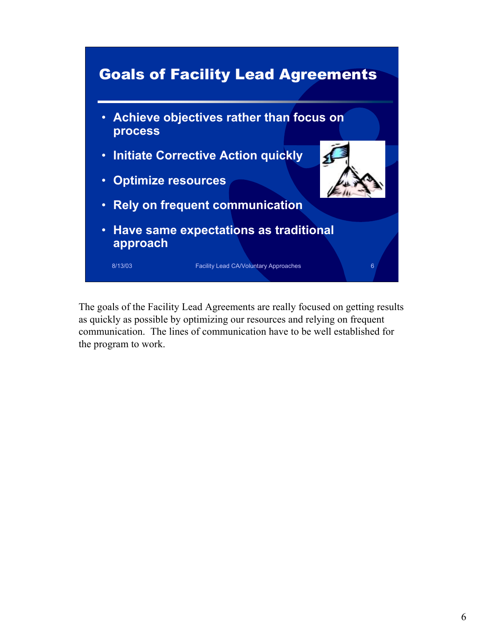

The goals of the Facility Lead Agreements are really focused on getting results as quickly as possible by optimizing our resources and relying on frequent communication. The lines of communication have to be well established for the program to work.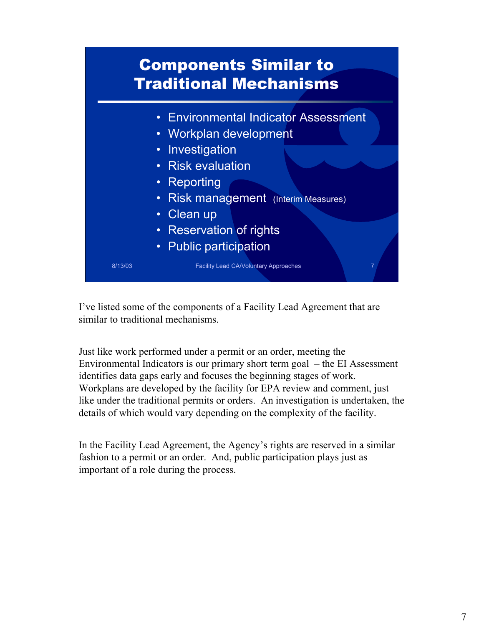

I've listed some of the components of a Facility Lead Agreement that are similar to traditional mechanisms.

Just like work performed under a permit or an order, meeting the Environmental Indicators is our primary short term goal  $-$  the EI Assessment identifies data gaps early and focuses the beginning stages of work. Workplans are developed by the facility for EPA review and comment, just like under the traditional permits or orders. An investigation is undertaken, the details of which would vary depending on the complexity of the facility.

In the Facility Lead Agreement, the Agency's rights are reserved in a similar fashion to a permit or an order. And, public participation plays just as important of a role during the process.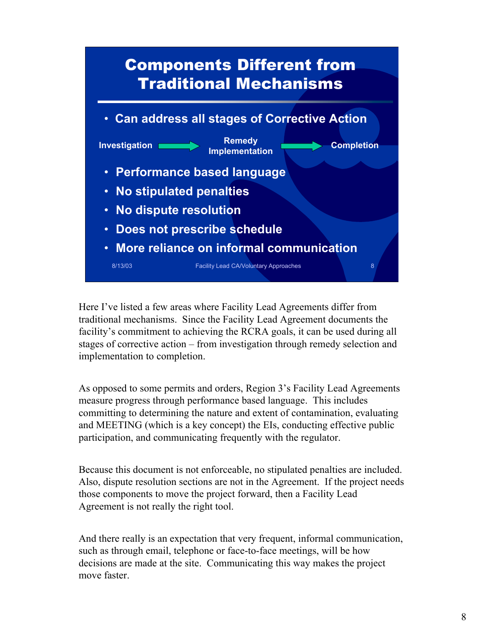

Here I've listed a few areas where Facility Lead Agreements differ from traditional mechanisms. Since the Facility Lead Agreement documents the facility's commitment to achieving the RCRA goals, it can be used during all stages of corrective action – from investigation through remedy selection and implementation to completion.

As opposed to some permits and orders, Region 3's Facility Lead Agreements measure progress through performance based language. This includes committing to determining the nature and extent of contamination, evaluating and MEETING (which is a key concept) the EIs, conducting effective public participation, and communicating frequently with the regulator.

Because this document is not enforceable, no stipulated penalties are included. Also, dispute resolution sections are not in the Agreement. If the project needs those components to move the project forward, then a Facility Lead Agreement is not really the right tool.

And there really is an expectation that very frequent, informal communication, such as through email, telephone or face-to-face meetings, will be how decisions are made at the site. Communicating this way makes the project move faster.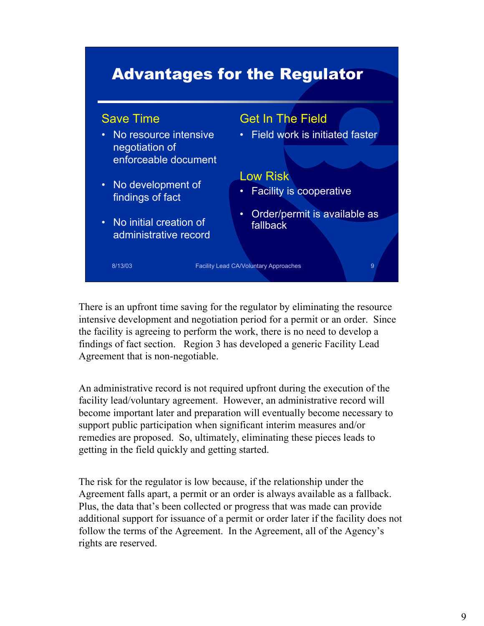



There is an upfront time saving for the regulator by eliminating the resource intensive development and negotiation period for a permit or an order. Since the facility is agreeing to perform the work, there is no need to develop a findings of fact section. Region 3 has developed a generic Facility Lead Agreement that is non-negotiable.

An administrative record is not required upfront during the execution of the facility lead/voluntary agreement. However, an administrative record will become important later and preparation will eventually become necessary to support public participation when significant interim measures and/or remedies are proposed. So, ultimately, eliminating these pieces leads to getting in the field quickly and getting started.

The risk for the regulator is low because, if the relationship under the Agreement falls apart, a permit or an order is always available as a fallback. Plus, the data that's been collected or progress that was made can provide additional support for issuance of a permit or order later if the facility does not follow the terms of the Agreement. In the Agreement, all of the Agency's rights are reserved.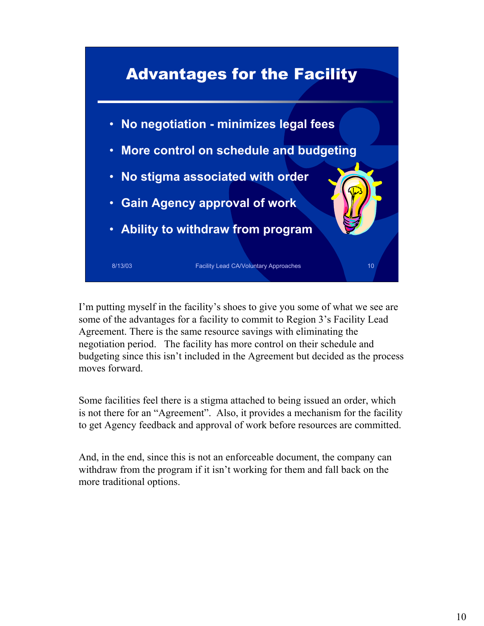

I'm putting myself in the facility's shoes to give you some of what we see are some of the advantages for a facility to commit to Region 3's Facility Lead Agreement. There is the same resource savings with eliminating the negotiation period. The facility has more control on their schedule and budgeting since this isn't included in the Agreement but decided as the process moves forward.

Some facilities feel there is a stigma attached to being issued an order, which is not there for an "Agreement". Also, it provides a mechanism for the facility to get Agency feedback and approval of work before resources are committed.

And, in the end, since this is not an enforceable document, the company can withdraw from the program if it isn't working for them and fall back on the more traditional options.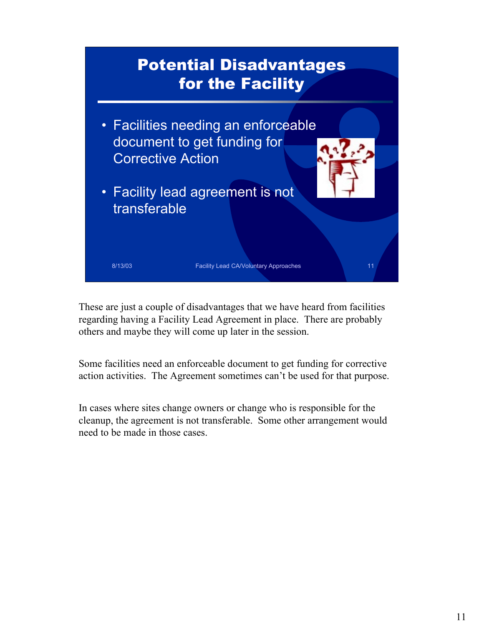

These are just a couple of disadvantages that we have heard from facilities regarding having a Facility Lead Agreement in place. There are probably others and maybe they will come up later in the session.

Some facilities need an enforceable document to get funding for corrective action activities. The Agreement sometimes can't be used for that purpose.

In cases where sites change owners or change who is responsible for the cleanup, the agreement is not transferable. Some other arrangement would need to be made in those cases.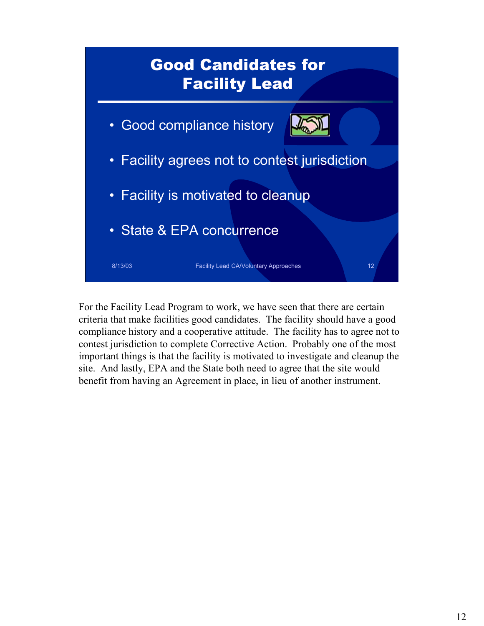

For the Facility Lead Program to work, we have seen that there are certain criteria that make facilities good candidates. The facility should have a good compliance history and a cooperative attitude. The facility has to agree not to contest jurisdiction to complete Corrective Action. Probably one of the most important things is that the facility is motivated to investigate and cleanup the site. And lastly, EPA and the State both need to agree that the site would benefit from having an Agreement in place, in lieu of another instrument.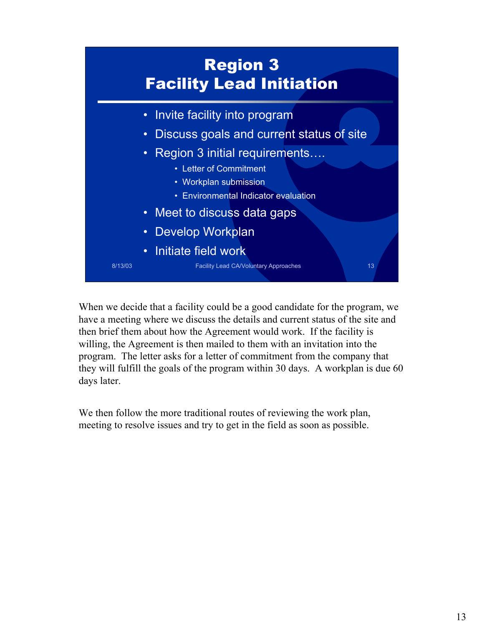

When we decide that a facility could be a good candidate for the program, we have a meeting where we discuss the details and current status of the site and then brief them about how the Agreement would work. If the facility is willing, the Agreement is then mailed to them with an invitation into the program. The letter asks for a letter of commitment from the company that they will fulfill the goals of the program within 30 days. A workplan is due 60 days later.

We then follow the more traditional routes of reviewing the work plan, meeting to resolve issues and try to get in the field as soon as possible.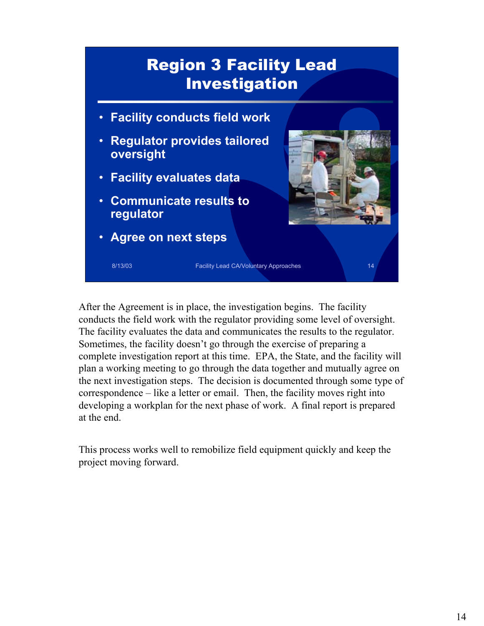

After the Agreement is in place, the investigation begins. The facility conducts the field work with the regulator providing some level of oversight. The facility evaluates the data and communicates the results to the regulator. Sometimes, the facility doesn't go through the exercise of preparing a complete investigation report at this time. EPA, the State, and the facility will plan a working meeting to go through the data together and mutually agree on the next investigation steps. The decision is documented through some type of  $correspondence - like a letter or email. Then, the facility moves right into$ developing a workplan for the next phase of work. A final report is prepared at the end.

This process works well to remobilize field equipment quickly and keep the project moving forward.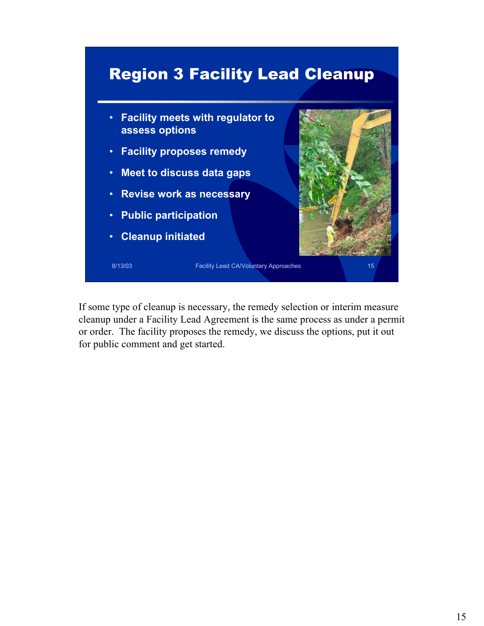

If some type of cleanup is necessary, the remedy selection or interim measure cleanup under a Facility Lead Agreement is the same process as under a permit or order. The facility proposes the remedy, we discuss the options, put it out for public comment and get started.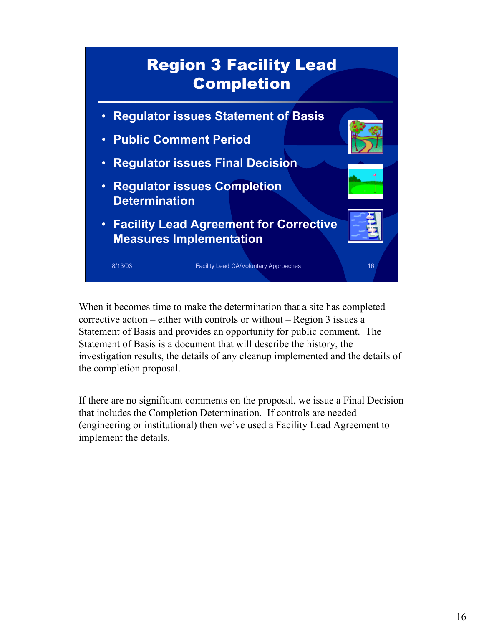

When it becomes time to make the determination that a site has completed corrective action  $-$  either with controls or without  $-$  Region 3 issues a Statement of Basis and provides an opportunity for public comment. The Statement of Basis is a document that will describe the history, the investigation results, the details of any cleanup implemented and the details of the completion proposal.

If there are no significant comments on the proposal, we issue a Final Decision that includes the Completion Determination. If controls are needed (engineering or institutional) then we've used a Facility Lead Agreement to implement the details.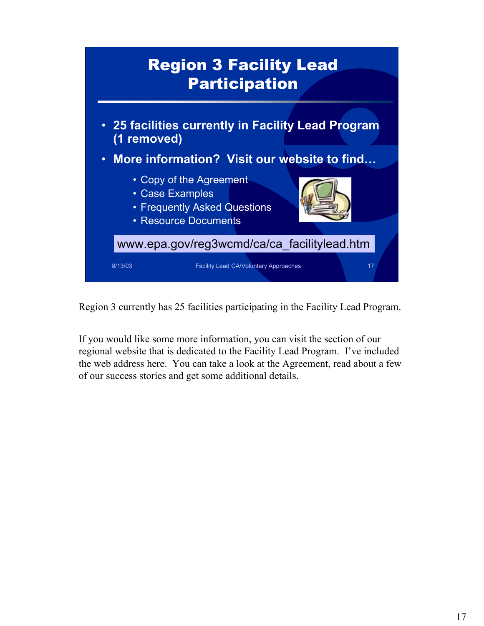

Region 3 currently has 25 facilities participating in the Facility Lead Program.

If you would like some more information, you can visit the section of our regional website that is dedicated to the Facility Lead Program. I've included the web address here. You can take a look at the Agreement, read about a few of our success stories and get some additional details.